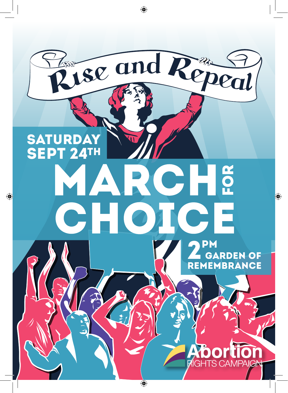